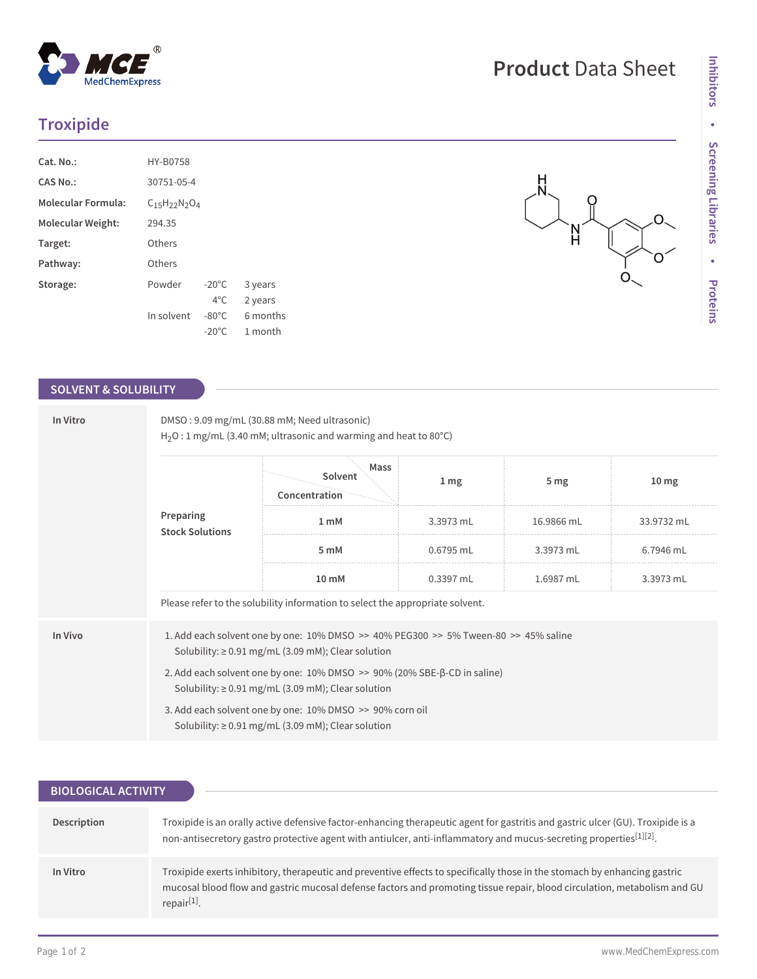## **Troxipide**

| Cat. No.:                 | HY-B0758                 |                 |          |
|---------------------------|--------------------------|-----------------|----------|
| CAS No.:                  | 30751-05-4               |                 |          |
| <b>Molecular Formula:</b> | $C_{15}H_{22}N_{2}O_{4}$ |                 |          |
| <b>Molecular Weight:</b>  | 294.35                   |                 |          |
| Target:                   | Others                   |                 |          |
| Pathway:                  | Others                   |                 |          |
| Storage:                  | Powder                   | $-20^{\circ}$ C | 3 years  |
|                           |                          | $4^{\circ}$ C.  | 2 years  |
|                           | In solvent               | $-80^{\circ}$ C | 6 months |
|                           |                          | $-20^{\circ}$ C | 1 month  |

## **SOLVENT & SOLUBILITY**

| In Vitro | DMSO: 9.09 mg/mL (30.88 mM; Need ultrasonic)<br>$H_2O:1$ mg/mL (3.40 mM; ultrasonic and warming and heat to 80 $^{\circ}$ C)                               |                                  |                 |            |                  |  |
|----------|------------------------------------------------------------------------------------------------------------------------------------------------------------|----------------------------------|-----------------|------------|------------------|--|
|          | Preparing<br><b>Stock Solutions</b>                                                                                                                        | Mass<br>Solvent<br>Concentration | 1 <sub>mg</sub> | 5 mg       | 10 <sub>mg</sub> |  |
|          |                                                                                                                                                            | 1 <sub>m</sub> M                 | 3.3973 mL       | 16.9866 mL | 33.9732 mL       |  |
|          |                                                                                                                                                            | 5 mM                             | $0.6795$ mL     | 3.3973 mL  | 6.7946 mL        |  |
|          |                                                                                                                                                            | 10 mM                            | 0.3397 mL       | 1.6987 mL  | 3.3973 mL        |  |
|          | Please refer to the solubility information to select the appropriate solvent.                                                                              |                                  |                 |            |                  |  |
| In Vivo  | 1. Add each solvent one by one: $10\%$ DMSO >> $40\%$ PEG300 >> $5\%$ Tween-80 >> $45\%$ saline<br>Solubility: $\geq$ 0.91 mg/mL (3.09 mM); Clear solution |                                  |                 |            |                  |  |
|          | 2. Add each solvent one by one: $10\%$ DMSO $\geq$ 90% (20% SBE- $\beta$ -CD in saline)<br>Solubility: $\geq$ 0.91 mg/mL (3.09 mM); Clear solution         |                                  |                 |            |                  |  |
|          | 3. Add each solvent one by one: 10% DMSO >> 90% corn oil<br>Solubility: $\geq$ 0.91 mg/mL (3.09 mM); Clear solution                                        |                                  |                 |            |                  |  |

| <b>BIOLOGICAL ACTIVITY</b> |                                                                                                                                                                                                                                                                                  |  |  |  |  |
|----------------------------|----------------------------------------------------------------------------------------------------------------------------------------------------------------------------------------------------------------------------------------------------------------------------------|--|--|--|--|
|                            |                                                                                                                                                                                                                                                                                  |  |  |  |  |
| Description                | Troxipide is an orally active defensive factor-enhancing therapeutic agent for gastritis and gastric ulcer (GU). Troxipide is a<br>non-antisecretory gastro protective agent with antiulcer, anti-inflammatory and mucus-secreting properties[1][2].                             |  |  |  |  |
| In Vitro                   | Troxipide exerts inhibitory, therapeutic and preventive effects to specifically those in the stomach by enhancing gastric<br>mucosal blood flow and gastric mucosal defense factors and promoting tissue repair, blood circulation, metabolism and GU<br>repair <sup>[1]</sup> . |  |  |  |  |

 $\sum_{i=1}^{n}$ 

 $O_{\sim}$ 

O

O.